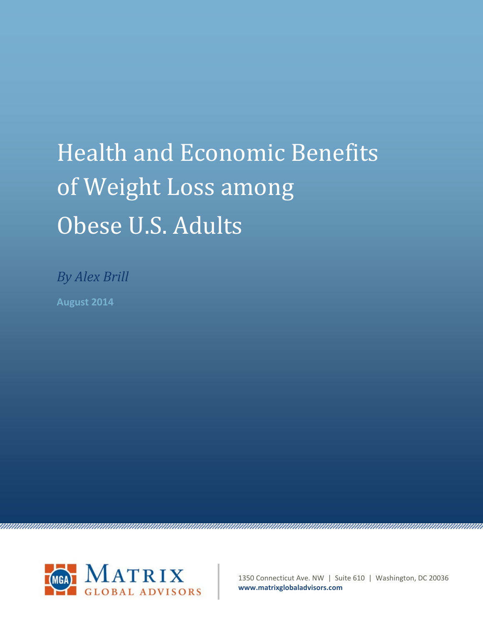# Health and Economic Benefits of Weight Loss among Obese U.S. Adults

*By Alex Brill* **August 2014**



1350 Connecticut Ave. NW | Suite 610 | Washington, DC 20036 **www.matrixglobaladvisors.com**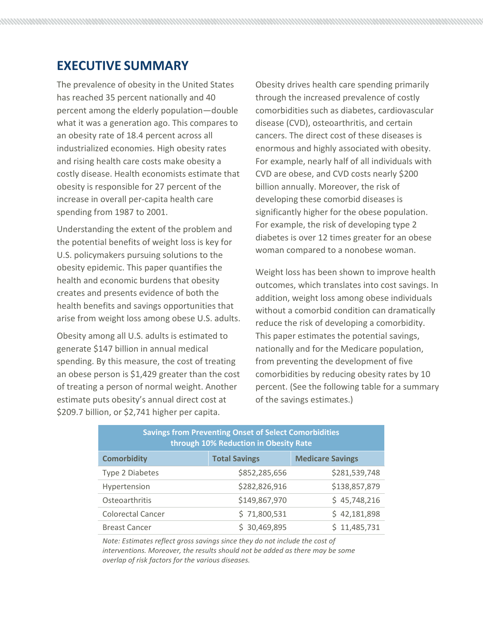# **EXECUTIVE SUMMARY**

The prevalence of obesity in the United States has reached 35 percent nationally and 40 percent among the elderly population—double what it was a generation ago. This compares to an obesity rate of 18.4 percent across all industrialized economies. High obesity rates and rising health care costs make obesity a costly disease. Health economists estimate that obesity is responsible for 27 percent of the increase in overall per-capita health care spending from 1987 to 2001.

Understanding the extent of the problem and the potential benefits of weight loss is key for U.S. policymakers pursuing solutions to the obesity epidemic. This paper quantifies the health and economic burdens that obesity creates and presents evidence of both the health benefits and savings opportunities that arise from weight loss among obese U.S. adults.

Obesity among all U.S. adults is estimated to generate \$147 billion in annual medical spending. By this measure, the cost of treating an obese person is \$1,429 greater than the cost of treating a person of normal weight. Another estimate puts obesity's annual direct cost at \$209.7 billion, or \$2,741 higher per capita.

Obesity drives health care spending primarily through the increased prevalence of costly comorbidities such as diabetes, cardiovascular disease (CVD), osteoarthritis, and certain cancers. The direct cost of these diseases is enormous and highly associated with obesity. For example, nearly half of all individuals with CVD are obese, and CVD costs nearly \$200 billion annually. Moreover, the risk of developing these comorbid diseases is significantly higher for the obese population. For example, the risk of developing type 2 diabetes is over 12 times greater for an obese woman compared to a nonobese woman.

Weight loss has been shown to improve health outcomes, which translates into cost savings. In addition, weight loss among obese individuals without a comorbid condition can dramatically reduce the risk of developing a comorbidity. This paper estimates the potential savings, nationally and for the Medicare population, from preventing the development of five comorbidities by reducing obesity rates by 10 percent. (See the following table for a summary of the savings estimates.)

| <b>Savings from Preventing Onset of Select Comorbidities</b><br>through 10% Reduction in Obesity Rate |                      |                         |  |  |
|-------------------------------------------------------------------------------------------------------|----------------------|-------------------------|--|--|
| <b>Comorbidity</b>                                                                                    | <b>Total Savings</b> | <b>Medicare Savings</b> |  |  |
| Type 2 Diabetes                                                                                       | \$852,285,656        | \$281,539,748           |  |  |
| Hypertension                                                                                          | \$282,826,916        | \$138,857,879           |  |  |
| Osteoarthritis                                                                                        | \$149,867,970        | \$45,748,216            |  |  |
| <b>Colorectal Cancer</b>                                                                              | \$71,800,531         | \$42,181,898            |  |  |
| <b>Breast Cancer</b>                                                                                  | 30,469,895           | \$11,485,731            |  |  |

*Note: Estimates reflect gross savings since they do not include the cost of interventions. Moreover, the results should not be added as there may be some overlap of risk factors for the various diseases.*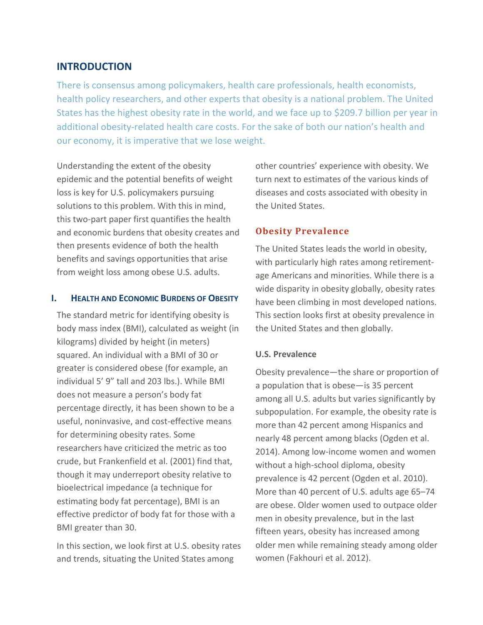# **INTRODUCTION**

There is consensus among policymakers, health care professionals, health economists, health policy researchers, and other experts that obesity is a national problem. The United States has the highest obesity rate in the world, and we face up to \$209.7 billion per year in additional obesity-related health care costs. For the sake of both our nation's health and our economy, it is imperative that we lose weight.

Understanding the extent of the obesity epidemic and the potential benefits of weight loss is key for U.S. policymakers pursuing solutions to this problem. With this in mind, this two-part paper first quantifies the health and economic burdens that obesity creates and then presents evidence of both the health benefits and savings opportunities that arise from weight loss among obese U.S. adults.

### **I. HEALTH AND ECONOMIC BURDENS OF OBESITY**

The standard metric for identifying obesity is body mass index (BMI), calculated as weight (in kilograms) divided by height (in meters) squared. An individual with a BMI of 30 or greater is considered obese (for example, an individual 5' 9" tall and 203 lbs.). While BMI does not measure a person's body fat percentage directly, it has been shown to be a useful, noninvasive, and cost-effective means for determining obesity rates. Some researchers have criticized the metric as too crude, but Frankenfield et al. (2001) find that, though it may underreport obesity relative to bioelectrical impedance (a technique for estimating body fat percentage), BMI is an effective predictor of body fat for those with a BMI greater than 30.

In this section, we look first at U.S. obesity rates and trends, situating the United States among

other countries' experience with obesity. We turn next to estimates of the various kinds of diseases and costs associated with obesity in the United States.

# **Obesity Prevalence**

The United States leads the world in obesity, with particularly high rates among retirementage Americans and minorities. While there is a wide disparity in obesity globally, obesity rates have been climbing in most developed nations. This section looks first at obesity prevalence in the United States and then globally.

# **U.S. Prevalence**

Obesity prevalence—the share or proportion of a population that is obese—is 35 percent among all U.S. adults but varies significantly by subpopulation. For example, the obesity rate is more than 42 percent among Hispanics and nearly 48 percent among blacks (Ogden et al. 2014). Among low-income women and women without a high-school diploma, obesity prevalence is 42 percent (Ogden et al. 2010). More than 40 percent of U.S. adults age 65–74 are obese. Older women used to outpace older men in obesity prevalence, but in the last fifteen years, obesity has increased among older men while remaining steady among older women (Fakhouri et al. 2012).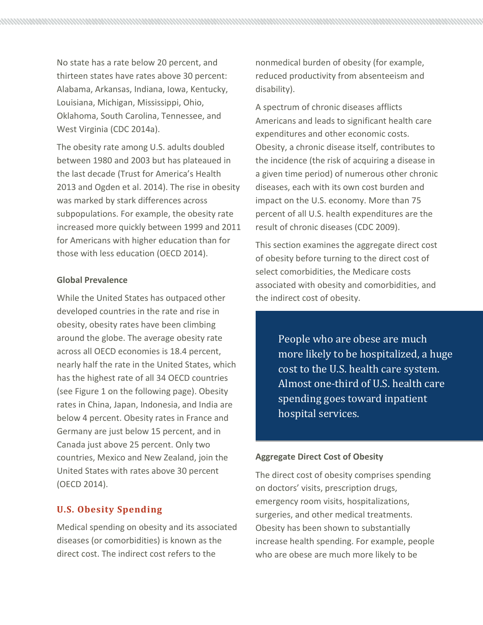No state has a rate below 20 percent, and thirteen states have rates above 30 percent: Alabama, Arkansas, Indiana, Iowa, Kentucky, Louisiana, Michigan, Mississippi, Ohio, Oklahoma, South Carolina, Tennessee, and West Virginia (CDC 2014a).

The obesity rate among U.S. adults doubled between 1980 and 2003 but has plateaued in the last decade (Trust for America's Health 2013 and Ogden et al. 2014). The rise in obesity was marked by stark differences across subpopulations. For example, the obesity rate increased more quickly between 1999 and 2011 for Americans with higher education than for those with less education (OECD 2014).

## **Global Prevalence**

While the United States has outpaced other developed countries in the rate and rise in obesity, obesity rates have been climbing around the globe. The average obesity rate across all OECD economies is 18.4 percent, nearly half the rate in the United States, which has the highest rate of all 34 OECD countries (see Figure 1 on the following page). Obesity rates in China, Japan, Indonesia, and India are below 4 percent. Obesity rates in France and Germany are just below 15 percent, and in Canada just above 25 percent. Only two countries, Mexico and New Zealand, join the United States with rates above 30 percent (OECD 2014).

# **U.S. Obesity Spending**

Medical spending on obesity and its associated diseases (or comorbidities) is known as the direct cost. The indirect cost refers to the

nonmedical burden of obesity (for example, reduced productivity from absenteeism and disability).

A spectrum of chronic diseases afflicts Americans and leads to significant health care expenditures and other economic costs. Obesity, a chronic disease itself, contributes to the incidence (the risk of acquiring a disease in a given time period) of numerous other chronic diseases, each with its own cost burden and impact on the U.S. economy. More than 75 percent of all U.S. health expenditures are the result of chronic diseases (CDC 2009).

This section examines the aggregate direct cost of obesity before turning to the direct cost of select comorbidities, the Medicare costs associated with obesity and comorbidities, and the indirect cost of obesity.

> People who are obese are much more likely to be hospitalized, a huge cost to the U.S. health care system. Almost one-third of U.S. health care spending goes toward inpatient hospital services.

#### **Aggregate Direct Cost of Obesity**

The direct cost of obesity comprises spending on doctors' visits, prescription drugs, emergency room visits, hospitalizations, surgeries, and other medical treatments. Obesity has been shown to substantially increase health spending. For example, people who are obese are much more likely to be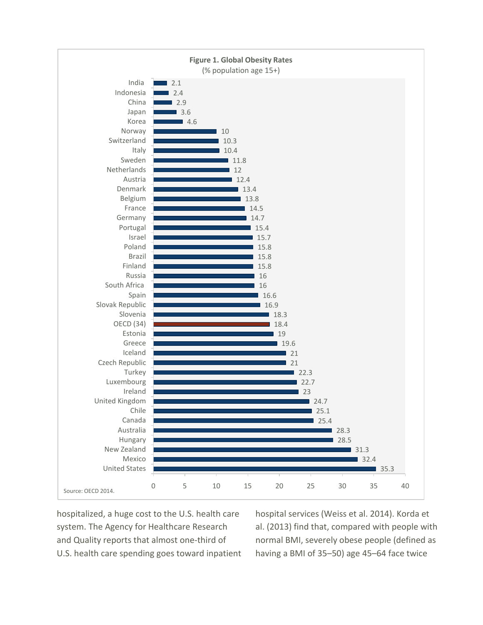

hospitalized, a huge cost to the U.S. health care system. The Agency for Healthcare Research and Quality reports that almost one-third of U.S. health care spending goes toward inpatient

hospital services (Weiss et al. 2014). Korda et al. (2013) find that, compared with people with normal BMI, severely obese people (defined as having a BMI of 35–50) age 45–64 face twice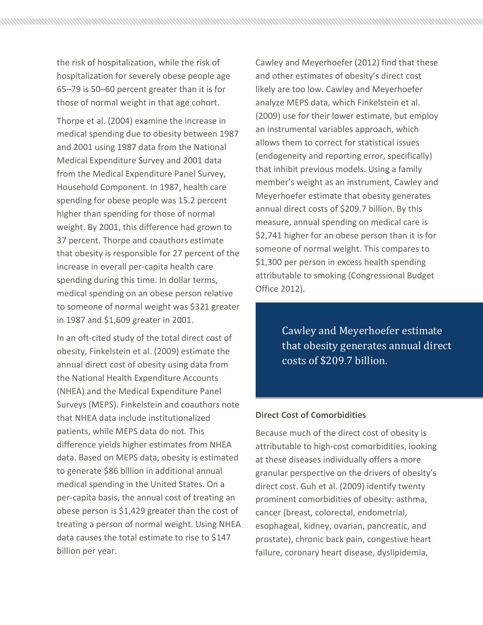the risk of hospitalization, while the risk of hospitalization for severely obese people age 65–79 is 50–60 percent greater than it is for those of normal weight in that age cohort.

Thorpe et al. (2004) examine the increase in medical spending due to obesity between 1987 and 2001 using 1987 data from the National Medical Expenditure Survey and 2001 data from the Medical Expenditure Panel Survey, Household Component. In 1987, health care spending for obese people was 15.2 percent higher than spending for those of normal weight. By 2001, this difference had grown to 37 percent. Thorpe and coauthors estimate that obesity is responsible for 27 percent of the increase in overall per-capita health care spending during this time. In dollar terms, medical spending on an obese person relative to someone of normal weight was \$321 greater in 1987 and \$1,609 greater in 2001.

In an oft-cited study of the total direct cost of obesity, Finkelstein et al. (2009) estimate the annual direct cost of obesity using data from the National Health Expenditure Accounts (NHEA) and the Medical Expenditure Panel Surveys (MEPS). Finkelstein and coauthors note that NHEA data include institutionalized patients, while MEPS data do not. This difference yields higher estimates from NHEA data. Based on MEPS data, obesity is estimated to generate \$86 billion in additional annual medical spending in the United States. On a per-capita basis, the annual cost of treating an obese person is \$1,429 greater than the cost of treating a person of normal weight. Using NHEA data causes the total estimate to rise to \$147 billion per year.

Cawley and Meyerhoefer (2012) find that these and other estimates of obesity's direct cost likely are too low. Cawley and Meyerhoefer analyze MEPS data, which Finkelstein et al. (2009) use for their lower estimate, but employ an instrumental variables approach, which allows them to correct for statistical issues (endogeneity and reporting error, specifically) that inhibit previous models. Using a family member's weight as an instrument, Cawley and Meyerhoefer estimate that obesity generates annual direct costs of \$209.7 billion. By this measure, annual spending on medical care is \$2,741 higher for an obese person than it is for someone of normal weight. This compares to \$1,300 per person in excess health spending attributable to smoking (Congressional Budget Office 2012).

> Cawley and Meyerhoefer estimate that obesity generates annual direct costs of \$209.7 billion.

#### **Direct Cost of Comorbidities**

Because much of the direct cost of obesity is attributable to high-cost comorbidities, looking at these diseases individually offers a more granular perspective on the drivers of obesity's direct cost. Guh et al. (2009) identify twenty prominent comorbidities of obesity: asthma, cancer (breast, colorectal, endometrial, esophageal, kidney, ovarian, pancreatic, and prostate), chronic back pain, congestive heart failure, coronary heart disease, dyslipidemia,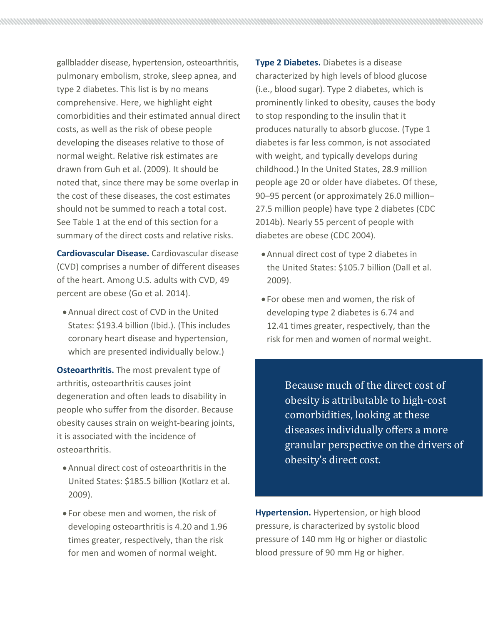gallbladder disease, hypertension, osteoarthritis, pulmonary embolism, stroke, sleep apnea, and type 2 diabetes. This list is by no means comprehensive. Here, we highlight eight comorbidities and their estimated annual direct costs, as well as the risk of obese people developing the diseases relative to those of normal weight. Relative risk estimates are drawn from Guh et al. (2009). It should be noted that, since there may be some overlap in the cost of these diseases, the cost estimates should not be summed to reach a total cost. See Table 1 at the end of this section for a summary of the direct costs and relative risks.

**Cardiovascular Disease.** Cardiovascular disease (CVD) comprises a number of different diseases of the heart. Among U.S. adults with CVD, 49 percent are obese (Go et al. 2014).

•Annual direct cost of CVD in the United States: \$193.4 billion (Ibid.). (This includes coronary heart disease and hypertension, which are presented individually below.)

**Osteoarthritis.** The most prevalent type of arthritis, osteoarthritis causes joint degeneration and often leads to disability in people who suffer from the disorder. Because obesity causes strain on weight-bearing joints, it is associated with the incidence of osteoarthritis.

- •Annual direct cost of osteoarthritis in the United States: \$185.5 billion (Kotlarz et al. 2009).
- For obese men and women, the risk of developing osteoarthritis is 4.20 and 1.96 times greater, respectively, than the risk for men and women of normal weight.

**Type 2 Diabetes.** Diabetes is a disease characterized by high levels of blood glucose (i.e., blood sugar). Type 2 diabetes, which is prominently linked to obesity, causes the body to stop responding to the insulin that it produces naturally to absorb glucose. (Type 1 diabetes is far less common, is not associated with weight, and typically develops during childhood.) In the United States, 28.9 million people age 20 or older have diabetes. Of these, 90–95 percent (or approximately 26.0 million– 27.5 million people) have type 2 diabetes (CDC 2014b). Nearly 55 percent of people with diabetes are obese (CDC 2004).

- •Annual direct cost of type 2 diabetes in the United States: \$105.7 billion (Dall et al. 2009).
- For obese men and women, the risk of developing type 2 diabetes is 6.74 and 12.41 times greater, respectively, than the risk for men and women of normal weight.

Because much of the direct cost of obesity is attributable to high-cost comorbidities, looking at these diseases individually offers a more granular perspective on the drivers of obesity's direct cost.

**Hypertension.** Hypertension, or high blood pressure, is characterized by systolic blood pressure of 140 mm Hg or higher or diastolic blood pressure of 90 mm Hg or higher.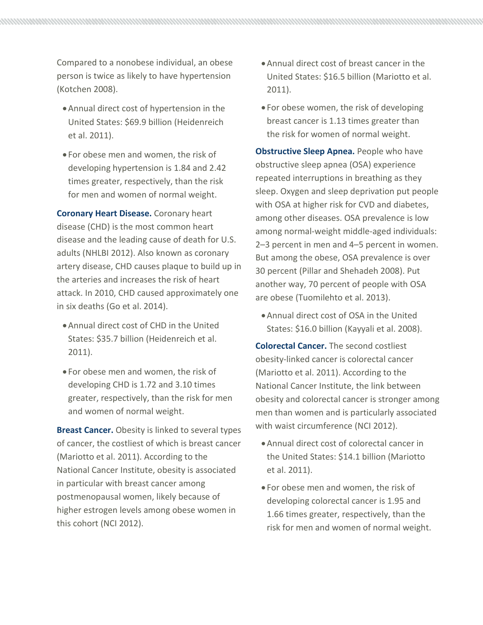Compared to a nonobese individual, an obese person is twice as likely to have hypertension (Kotchen 2008).

- •Annual direct cost of hypertension in the United States: \$69.9 billion (Heidenreich et al. 2011).
- For obese men and women, the risk of developing hypertension is 1.84 and 2.42 times greater, respectively, than the risk for men and women of normal weight.

**Coronary Heart Disease.** Coronary heart disease (CHD) is the most common heart disease and the leading cause of death for U.S. adults (NHLBI 2012). Also known as coronary artery disease, CHD causes plaque to build up in the arteries and increases the risk of heart attack. In 2010, CHD caused approximately one in six deaths (Go et al. 2014).

- •Annual direct cost of CHD in the United States: \$35.7 billion (Heidenreich et al. 2011).
- For obese men and women, the risk of developing CHD is 1.72 and 3.10 times greater, respectively, than the risk for men and women of normal weight.

**Breast Cancer.** Obesity is linked to several types of cancer, the costliest of which is breast cancer (Mariotto et al. 2011). According to the National Cancer Institute, obesity is associated in particular with breast cancer among postmenopausal women, likely because of higher estrogen levels among obese women in this cohort (NCI 2012).

- •Annual direct cost of breast cancer in the United States: \$16.5 billion (Mariotto et al. 2011).
- For obese women, the risk of developing breast cancer is 1.13 times greater than the risk for women of normal weight.

**Obstructive Sleep Apnea.** People who have obstructive sleep apnea (OSA) experience repeated interruptions in breathing as they sleep. Oxygen and sleep deprivation put people with OSA at higher risk for CVD and diabetes, among other diseases. OSA prevalence is low among normal-weight middle-aged individuals: 2–3 percent in men and 4–5 percent in women. But among the obese, OSA prevalence is over 30 percent (Pillar and Shehadeh 2008). Put another way, 70 percent of people with OSA are obese (Tuomilehto et al. 2013).

•Annual direct cost of OSA in the United States: \$16.0 billion (Kayyali et al. 2008).

**Colorectal Cancer.** The second costliest obesity-linked cancer is colorectal cancer (Mariotto et al. 2011). According to the National Cancer Institute, the link between obesity and colorectal cancer is stronger among men than women and is particularly associated with waist circumference (NCI 2012).

- •Annual direct cost of colorectal cancer in the United States: \$14.1 billion (Mariotto et al. 2011).
- For obese men and women, the risk of developing colorectal cancer is 1.95 and 1.66 times greater, respectively, than the risk for men and women of normal weight.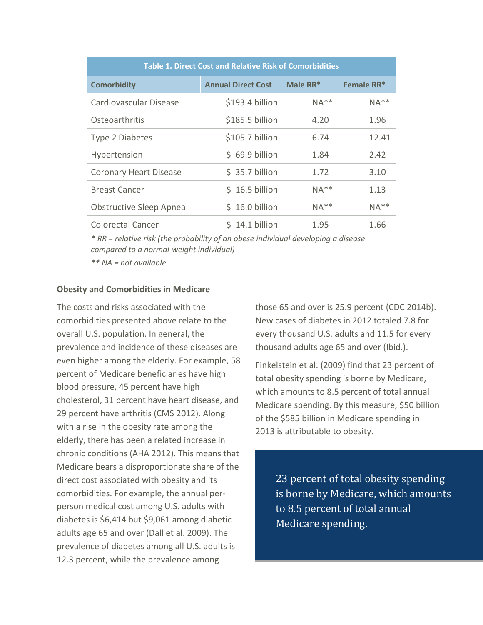| <b>Table 1. Direct Cost and Relative Risk of Comorbidities</b> |                           |            |            |  |  |
|----------------------------------------------------------------|---------------------------|------------|------------|--|--|
| <b>Comorbidity</b>                                             | <b>Annual Direct Cost</b> | Male $RR*$ | Female RR* |  |  |
| Cardiovascular Disease                                         | \$193.4 billion           | $NA**$     | $NA**$     |  |  |
| Osteoarthritis                                                 | \$185.5 billion           | 4.20       | 1.96       |  |  |
| Type 2 Diabetes                                                | \$105.7 billion           | 6.74       | 12.41      |  |  |
| Hypertension                                                   | \$69.9 billion            | 1.84       | 2.42       |  |  |
| <b>Coronary Heart Disease</b>                                  | \$35.7 billion            | 1.72       | 3.10       |  |  |
| <b>Breast Cancer</b>                                           | $$16.5$ billion           | $NA**$     | 1.13       |  |  |
| <b>Obstructive Sleep Apnea</b>                                 | \$16.0 billion            | $NA**$     | $NA**$     |  |  |
| <b>Colorectal Cancer</b>                                       | \$14.1 billion            | 1.95       | 1.66       |  |  |

*\* RR = relative risk (the probability of an obese individual developing a disease compared to a normal-weight individual)*

*\*\* NA = not available*

#### **Obesity and Comorbidities in Medicare**

The costs and risks associated with the comorbidities presented above relate to the overall U.S. population. In general, the prevalence and incidence of these diseases are even higher among the elderly. For example, 58 percent of Medicare beneficiaries have high blood pressure, 45 percent have high cholesterol, 31 percent have heart disease, and 29 percent have arthritis (CMS 2012). Along with a rise in the obesity rate among the elderly, there has been a related increase in chronic conditions (AHA 2012). This means that Medicare bears a disproportionate share of the direct cost associated with obesity and its comorbidities. For example, the annual perperson medical cost among U.S. adults with diabetes is \$6,414 but \$9,061 among diabetic adults age 65 and over (Dall et al. 2009). The prevalence of diabetes among all U.S. adults is 12.3 percent, while the prevalence among

those 65 and over is 25.9 percent (CDC 2014b). New cases of diabetes in 2012 totaled 7.8 for every thousand U.S. adults and 11.5 for every thousand adults age 65 and over (Ibid.).

Finkelstein et al. (2009) find that 23 percent of total obesity spending is borne by Medicare, which amounts to 8.5 percent of total annual Medicare spending. By this measure, \$50 billion of the \$585 billion in Medicare spending in 2013 is attributable to obesity.

> 23 percent of total obesity spending is borne by Medicare, which amounts to 8.5 percent of total annual Medicare spending.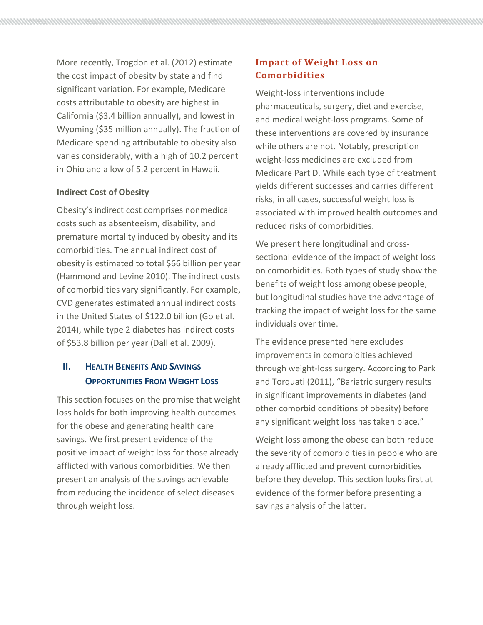More recently, Trogdon et al. (2012) estimate the cost impact of obesity by state and find significant variation. For example, Medicare costs attributable to obesity are highest in California (\$3.4 billion annually), and lowest in Wyoming (\$35 million annually). The fraction of Medicare spending attributable to obesity also varies considerably, with a high of 10.2 percent in Ohio and a low of 5.2 percent in Hawaii.

## **Indirect Cost of Obesity**

Obesity's indirect cost comprises nonmedical costs such as absenteeism, disability, and premature mortality induced by obesity and its comorbidities. The annual indirect cost of obesity is estimated to total \$66 billion per year (Hammond and Levine 2010). The indirect costs of comorbidities vary significantly. For example, CVD generates estimated annual indirect costs in the United States of \$122.0 billion (Go et al. 2014), while type 2 diabetes has indirect costs of \$53.8 billion per year (Dall et al. 2009).

# **II. HEALTH BENEFITS AND SAVINGS OPPORTUNITIES FROM WEIGHT LOSS**

This section focuses on the promise that weight loss holds for both improving health outcomes for the obese and generating health care savings. We first present evidence of the positive impact of weight loss for those already afflicted with various comorbidities. We then present an analysis of the savings achievable from reducing the incidence of select diseases through weight loss.

# **Impact of Weight Loss on Comorbidities**

Weight-loss interventions include pharmaceuticals, surgery, diet and exercise, and medical weight-loss programs. Some of these interventions are covered by insurance while others are not. Notably, prescription weight-loss medicines are excluded from Medicare Part D. While each type of treatment yields different successes and carries different risks, in all cases, successful weight loss is associated with improved health outcomes and reduced risks of comorbidities.

We present here longitudinal and crosssectional evidence of the impact of weight loss on comorbidities. Both types of study show the benefits of weight loss among obese people, but longitudinal studies have the advantage of tracking the impact of weight loss for the same individuals over time.

The evidence presented here excludes improvements in comorbidities achieved through weight-loss surgery. According to Park and Torquati (2011), "Bariatric surgery results in significant improvements in diabetes (and other comorbid conditions of obesity) before any significant weight loss has taken place."

Weight loss among the obese can both reduce the severity of comorbidities in people who are already afflicted and prevent comorbidities before they develop. This section looks first at evidence of the former before presenting a savings analysis of the latter.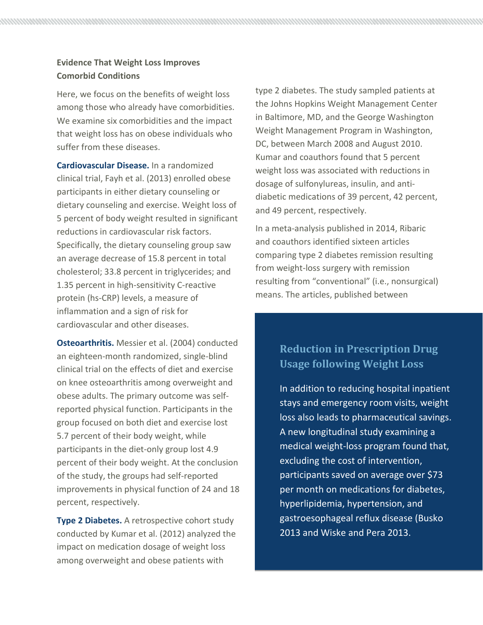# **Evidence That Weight Loss Improves Comorbid Conditions**

Here, we focus on the benefits of weight loss among those who already have comorbidities. We examine six comorbidities and the impact that weight loss has on obese individuals who suffer from these diseases.

**Cardiovascular Disease.** In a randomized clinical trial, Fayh et al. (2013) enrolled obese participants in either dietary counseling or dietary counseling and exercise. Weight loss of 5 percent of body weight resulted in significant reductions in cardiovascular risk factors. Specifically, the dietary counseling group saw an average decrease of 15.8 percent in total cholesterol; 33.8 percent in triglycerides; and 1.35 percent in high-sensitivity C-reactive protein (hs-CRP) levels, a measure of inflammation and a sign of risk for cardiovascular and other diseases.

**Osteoarthritis.** Messier et al. (2004) conducted an eighteen-month randomized, single-blind clinical trial on the effects of diet and exercise on knee osteoarthritis among overweight and obese adults. The primary outcome was selfreported physical function. Participants in the group focused on both diet and exercise lost 5.7 percent of their body weight, while participants in the diet-only group lost 4.9 percent of their body weight. At the conclusion of the study, the groups had self-reported improvements in physical function of 24 and 18 percent, respectively.

**Type 2 Diabetes.** A retrospective cohort study conducted by Kumar et al. (2012) analyzed the impact on medication dosage of weight loss among overweight and obese patients with

type 2 diabetes. The study sampled patients at the Johns Hopkins Weight Management Center in Baltimore, MD, and the George Washington Weight Management Program in Washington, DC, between March 2008 and August 2010. Kumar and coauthors found that 5 percent weight loss was associated with reductions in dosage of sulfonylureas, insulin, and antidiabetic medications of 39 percent, 42 percent, and 49 percent, respectively.

In a meta-analysis published in 2014, Ribaric and coauthors identified sixteen articles comparing type 2 diabetes remission resulting from weight-loss surgery with remission resulting from "conventional" (i.e., nonsurgical) means. The articles, published between

# **Reduction in Prescription Drug Usage following Weight Loss**

In addition to reducing hospital inpatient stays and emergency room visits, weight loss also leads to pharmaceutical savings. A new longitudinal study examining a medical weight-loss program found that, excluding the cost of intervention, participants saved on average over \$73 per month on medications for diabetes, hyperlipidemia, hypertension, and gastroesophageal reflux disease (Busko 2013 and Wiske and Pera 2013.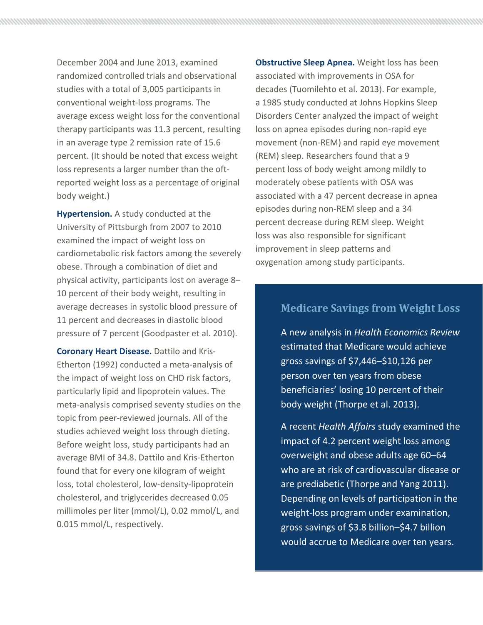December 2004 and June 2013, examined randomized controlled trials and observational studies with a total of 3,005 participants in conventional weight-loss programs. The average excess weight loss for the conventional therapy participants was 11.3 percent, resulting in an average type 2 remission rate of 15.6 percent. (It should be noted that excess weight loss represents a larger number than the oftreported weight loss as a percentage of original body weight.)

**Hypertension.** A study conducted at the University of Pittsburgh from 2007 to 2010 examined the impact of weight loss on cardiometabolic risk factors among the severely obese. Through a combination of diet and physical activity, participants lost on average 8– 10 percent of their body weight, resulting in average decreases in systolic blood pressure of 11 percent and decreases in diastolic blood pressure of 7 percent (Goodpaster et al. 2010).

**Coronary Heart Disease.** Dattilo and Kris-Etherton (1992) conducted a meta-analysis of the impact of weight loss on CHD risk factors, particularly lipid and lipoprotein values. The meta-analysis comprised seventy studies on the topic from peer-reviewed journals. All of the studies achieved weight loss through dieting. Before weight loss, study participants had an average BMI of 34.8. Dattilo and Kris-Etherton found that for every one kilogram of weight loss, total cholesterol, low-density-lipoprotein cholesterol, and triglycerides decreased 0.05 millimoles per liter (mmol/L), 0.02 mmol/L, and 0.015 mmol/L, respectively.

**Obstructive Sleep Apnea.** Weight loss has been associated with improvements in OSA for decades (Tuomilehto et al. 2013). For example, a 1985 study conducted at Johns Hopkins Sleep Disorders Center analyzed the impact of weight loss on apnea episodes during non-rapid eye movement (non-REM) and rapid eye movement (REM) sleep. Researchers found that a 9 percent loss of body weight among mildly to moderately obese patients with OSA was associated with a 47 percent decrease in apnea episodes during non-REM sleep and a 34 percent decrease during REM sleep. Weight loss was also responsible for significant improvement in sleep patterns and oxygenation among study participants.

# **Medicare Savings from Weight Loss**

A new analysis in *Health Economics Review* estimated that Medicare would achieve gross savings of \$7,446–\$10,126 per person over ten years from obese beneficiaries' losing 10 percent of their body weight (Thorpe et al. 2013).

A recent *Health Affairs* study examined the impact of 4.2 percent weight loss among overweight and obese adults age 60–64 who are at risk of cardiovascular disease or are prediabetic (Thorpe and Yang 2011). Depending on levels of participation in the weight-loss program under examination, gross savings of \$3.8 billion–\$4.7 billion would accrue to Medicare over ten years.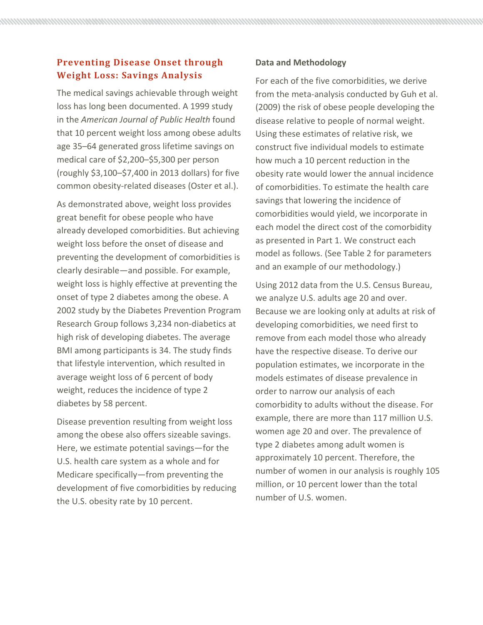# **Preventing Disease Onset through Weight Loss: Savings Analysis**

The medical savings achievable through weight loss has long been documented. A 1999 study in the *American Journal of Public Health* found that 10 percent weight loss among obese adults age 35–64 generated gross lifetime savings on medical care of \$2,200–\$5,300 per person (roughly \$3,100–\$7,400 in 2013 dollars) for five common obesity-related diseases (Oster et al.).

As demonstrated above, weight loss provides great benefit for obese people who have already developed comorbidities. But achieving weight loss before the onset of disease and preventing the development of comorbidities is clearly desirable—and possible. For example, weight loss is highly effective at preventing the onset of type 2 diabetes among the obese. A 2002 study by the Diabetes Prevention Program Research Group follows 3,234 non-diabetics at high risk of developing diabetes. The average BMI among participants is 34. The study finds that lifestyle intervention, which resulted in average weight loss of 6 percent of body weight, reduces the incidence of type 2 diabetes by 58 percent.

Disease prevention resulting from weight loss among the obese also offers sizeable savings. Here, we estimate potential savings—for the U.S. health care system as a whole and for Medicare specifically—from preventing the development of five comorbidities by reducing the U.S. obesity rate by 10 percent.

## **Data and Methodology**

For each of the five comorbidities, we derive from the meta-analysis conducted by Guh et al. (2009) the risk of obese people developing the disease relative to people of normal weight. Using these estimates of relative risk, we construct five individual models to estimate how much a 10 percent reduction in the obesity rate would lower the annual incidence of comorbidities. To estimate the health care savings that lowering the incidence of comorbidities would yield, we incorporate in each model the direct cost of the comorbidity as presented in Part 1. We construct each model as follows. (See Table 2 for parameters and an example of our methodology.)

Using 2012 data from the U.S. Census Bureau, we analyze U.S. adults age 20 and over. Because we are looking only at adults at risk of developing comorbidities, we need first to remove from each model those who already have the respective disease. To derive our population estimates, we incorporate in the models estimates of disease prevalence in order to narrow our analysis of each comorbidity to adults without the disease. For example, there are more than 117 million U.S. women age 20 and over. The prevalence of type 2 diabetes among adult women is approximately 10 percent. Therefore, the number of women in our analysis is roughly 105 million, or 10 percent lower than the total number of U.S. women.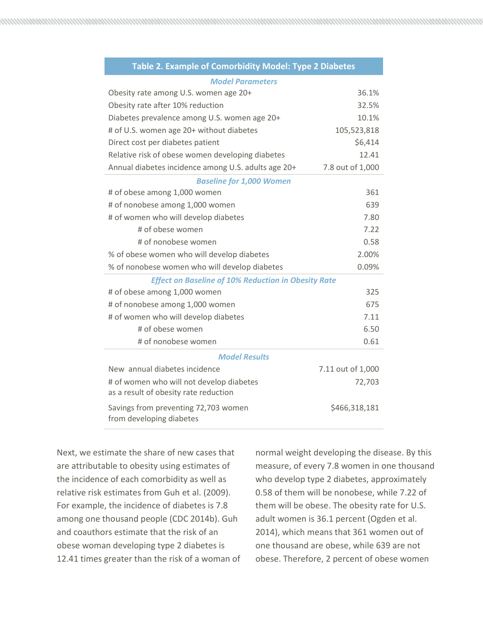| Table 2. Example of Comorbidity Model: Type 2 Diabetes           |                   |  |  |  |
|------------------------------------------------------------------|-------------------|--|--|--|
| <b>Model Parameters</b>                                          |                   |  |  |  |
| Obesity rate among U.S. women age 20+                            | 36.1%             |  |  |  |
| Obesity rate after 10% reduction                                 | 32.5%             |  |  |  |
| Diabetes prevalence among U.S. women age 20+                     | 10.1%             |  |  |  |
| # of U.S. women age 20+ without diabetes                         | 105,523,818       |  |  |  |
| Direct cost per diabetes patient                                 | \$6,414           |  |  |  |
| Relative risk of obese women developing diabetes                 | 12.41             |  |  |  |
| Annual diabetes incidence among U.S. adults age 20+              | 7.8 out of 1,000  |  |  |  |
| <b>Baseline for 1,000 Women</b>                                  |                   |  |  |  |
| # of obese among 1,000 women                                     | 361               |  |  |  |
| # of nonobese among 1,000 women                                  | 639               |  |  |  |
| # of women who will develop diabetes                             | 7.80              |  |  |  |
| # of obese women                                                 | 7.22              |  |  |  |
| # of nonobese women                                              | 0.58              |  |  |  |
| % of obese women who will develop diabetes                       | 2.00%             |  |  |  |
| % of nonobese women who will develop diabetes                    | 0.09%             |  |  |  |
| <b>Effect on Baseline of 10% Reduction in Obesity Rate</b>       |                   |  |  |  |
| # of obese among 1,000 women                                     | 325               |  |  |  |
| # of nonobese among 1,000 women                                  | 675               |  |  |  |
| # of women who will develop diabetes                             | 7.11              |  |  |  |
| # of obese women                                                 | 6.50              |  |  |  |
| # of nonobese women                                              | 0.61              |  |  |  |
| <b>Model Results</b>                                             |                   |  |  |  |
| New annual diabetes incidence                                    | 7.11 out of 1,000 |  |  |  |
| # of women who will not develop diabetes                         | 72,703            |  |  |  |
| as a result of obesity rate reduction                            |                   |  |  |  |
| Savings from preventing 72,703 women<br>from developing diabetes | \$466,318,181     |  |  |  |

Next, we estimate the share of new cases that are attributable to obesity using estimates of the incidence of each comorbidity as well as relative risk estimates from Guh et al. (2009). For example, the incidence of diabetes is 7.8 among one thousand people (CDC 2014b). Guh and coauthors estimate that the risk of an obese woman developing type 2 diabetes is 12.41 times greater than the risk of a woman of normal weight developing the disease. By this measure, of every 7.8 women in one thousand who develop type 2 diabetes, approximately 0.58 of them will be nonobese, while 7.22 of them will be obese. The obesity rate for U.S. adult women is 36.1 percent (Ogden et al. 2014), which means that 361 women out of one thousand are obese, while 639 are not obese. Therefore, 2 percent of obese women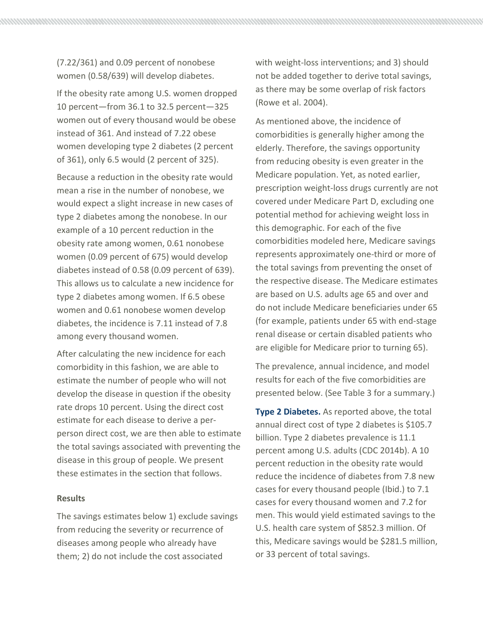(7.22/361) and 0.09 percent of nonobese women (0.58/639) will develop diabetes.

If the obesity rate among U.S. women dropped 10 percent—from 36.1 to 32.5 percent—325 women out of every thousand would be obese instead of 361. And instead of 7.22 obese women developing type 2 diabetes (2 percent of 361), only 6.5 would (2 percent of 325).

Because a reduction in the obesity rate would mean a rise in the number of nonobese, we would expect a slight increase in new cases of type 2 diabetes among the nonobese. In our example of a 10 percent reduction in the obesity rate among women, 0.61 nonobese women (0.09 percent of 675) would develop diabetes instead of 0.58 (0.09 percent of 639). This allows us to calculate a new incidence for type 2 diabetes among women. If 6.5 obese women and 0.61 nonobese women develop diabetes, the incidence is 7.11 instead of 7.8 among every thousand women.

After calculating the new incidence for each comorbidity in this fashion, we are able to estimate the number of people who will not develop the disease in question if the obesity rate drops 10 percent. Using the direct cost estimate for each disease to derive a perperson direct cost, we are then able to estimate the total savings associated with preventing the disease in this group of people. We present these estimates in the section that follows.

#### **Results**

The savings estimates below 1) exclude savings from reducing the severity or recurrence of diseases among people who already have them; 2) do not include the cost associated

with weight-loss interventions; and 3) should not be added together to derive total savings, as there may be some overlap of risk factors (Rowe et al. 2004).

As mentioned above, the incidence of comorbidities is generally higher among the elderly. Therefore, the savings opportunity from reducing obesity is even greater in the Medicare population. Yet, as noted earlier, prescription weight-loss drugs currently are not covered under Medicare Part D, excluding one potential method for achieving weight loss in this demographic. For each of the five comorbidities modeled here, Medicare savings represents approximately one-third or more of the total savings from preventing the onset of the respective disease. The Medicare estimates are based on U.S. adults age 65 and over and do not include Medicare beneficiaries under 65 (for example, patients under 65 with end-stage renal disease or certain disabled patients who are eligible for Medicare prior to turning 65).

The prevalence, annual incidence, and model results for each of the five comorbidities are presented below. (See Table 3 for a summary.)

**Type 2 Diabetes.** As reported above, the total annual direct cost of type 2 diabetes is \$105.7 billion. Type 2 diabetes prevalence is 11.1 percent among U.S. adults (CDC 2014b). A 10 percent reduction in the obesity rate would reduce the incidence of diabetes from 7.8 new cases for every thousand people (Ibid.) to 7.1 cases for every thousand women and 7.2 for men. This would yield estimated savings to the U.S. health care system of \$852.3 million. Of this, Medicare savings would be \$281.5 million, or 33 percent of total savings.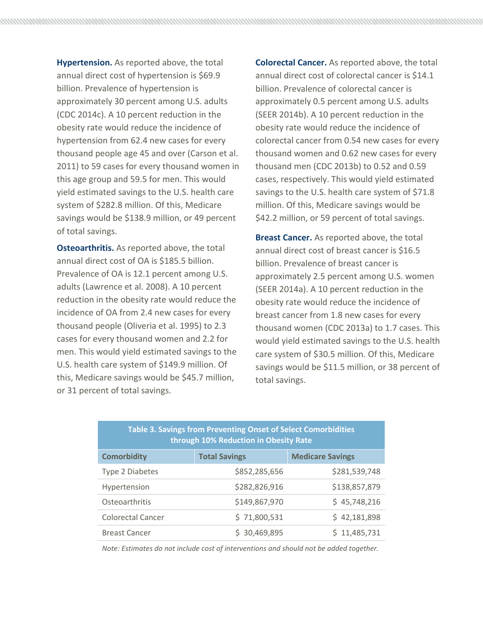**Hypertension.** As reported above, the total annual direct cost of hypertension is \$69.9 billion. Prevalence of hypertension is approximately 30 percent among U.S. adults (CDC 2014c). A 10 percent reduction in the obesity rate would reduce the incidence of hypertension from 62.4 new cases for every thousand people age 45 and over (Carson et al. 2011) to 59 cases for every thousand women in this age group and 59.5 for men. This would yield estimated savings to the U.S. health care system of \$282.8 million. Of this, Medicare savings would be \$138.9 million, or 49 percent of total savings.

**Osteoarthritis.** As reported above, the total annual direct cost of OA is \$185.5 billion. Prevalence of OA is 12.1 percent among U.S. adults (Lawrence et al. 2008). A 10 percent reduction in the obesity rate would reduce the incidence of OA from 2.4 new cases for every thousand people (Oliveria et al. 1995) to 2.3 cases for every thousand women and 2.2 for men. This would yield estimated savings to the U.S. health care system of \$149.9 million. Of this, Medicare savings would be \$45.7 million, or 31 percent of total savings.

**Colorectal Cancer.** As reported above, the total annual direct cost of colorectal cancer is \$14.1 billion. Prevalence of colorectal cancer is approximately 0.5 percent among U.S. adults (SEER 2014b). A 10 percent reduction in the obesity rate would reduce the incidence of colorectal cancer from 0.54 new cases for every thousand women and 0.62 new cases for every thousand men (CDC 2013b) to 0.52 and 0.59 cases, respectively. This would yield estimated savings to the U.S. health care system of \$71.8 million. Of this, Medicare savings would be \$42.2 million, or 59 percent of total savings.

**Breast Cancer.** As reported above, the total annual direct cost of breast cancer is \$16.5 billion. Prevalence of breast cancer is approximately 2.5 percent among U.S. women (SEER 2014a). A 10 percent reduction in the obesity rate would reduce the incidence of breast cancer from 1.8 new cases for every thousand women (CDC 2013a) to 1.7 cases. This would yield estimated savings to the U.S. health care system of \$30.5 million. Of this, Medicare savings would be \$11.5 million, or 38 percent of total savings.

| Table 3. Savings from Preventing Onset of Select Comorbidities<br>through 10% Reduction in Obesity Rate |                      |                         |  |  |
|---------------------------------------------------------------------------------------------------------|----------------------|-------------------------|--|--|
| <b>Comorbidity</b>                                                                                      | <b>Total Savings</b> | <b>Medicare Savings</b> |  |  |
| Type 2 Diabetes                                                                                         | \$852,285,656        | \$281,539,748           |  |  |
| Hypertension                                                                                            | \$282,826,916        | \$138,857,879           |  |  |
| Osteoarthritis                                                                                          | \$149,867,970        | \$45,748,216            |  |  |
| <b>Colorectal Cancer</b>                                                                                | \$71,800,531         | \$42,181,898            |  |  |
| <b>Breast Cancer</b>                                                                                    | 30,469,895           | 11,485,731              |  |  |

*Note: Estimates do not include cost of interventions and should not be added together.*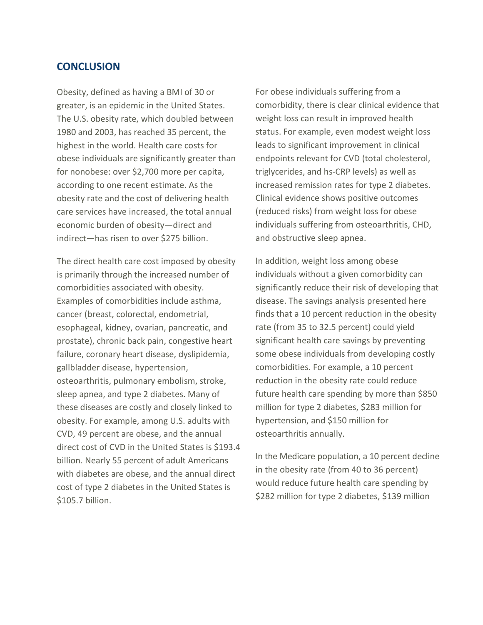## **CONCLUSION**

Obesity, defined as having a BMI of 30 or greater, is an epidemic in the United States. The U.S. obesity rate, which doubled between 1980 and 2003, has reached 35 percent, the highest in the world. Health care costs for obese individuals are significantly greater than for nonobese: over \$2,700 more per capita, according to one recent estimate. As the obesity rate and the cost of delivering health care services have increased, the total annual economic burden of obesity—direct and indirect—has risen to over \$275 billion.

The direct health care cost imposed by obesity is primarily through the increased number of comorbidities associated with obesity. Examples of comorbidities include asthma, cancer (breast, colorectal, endometrial, esophageal, kidney, ovarian, pancreatic, and prostate), chronic back pain, congestive heart failure, coronary heart disease, dyslipidemia, gallbladder disease, hypertension, osteoarthritis, pulmonary embolism, stroke, sleep apnea, and type 2 diabetes. Many of these diseases are costly and closely linked to obesity. For example, among U.S. adults with CVD, 49 percent are obese, and the annual direct cost of CVD in the United States is \$193.4 billion. Nearly 55 percent of adult Americans with diabetes are obese, and the annual direct cost of type 2 diabetes in the United States is \$105.7 billion.

For obese individuals suffering from a comorbidity, there is clear clinical evidence that weight loss can result in improved health status. For example, even modest weight loss leads to significant improvement in clinical endpoints relevant for CVD (total cholesterol, triglycerides, and hs-CRP levels) as well as increased remission rates for type 2 diabetes. Clinical evidence shows positive outcomes (reduced risks) from weight loss for obese individuals suffering from osteoarthritis, CHD, and obstructive sleep apnea.

In addition, weight loss among obese individuals without a given comorbidity can significantly reduce their risk of developing that disease. The savings analysis presented here finds that a 10 percent reduction in the obesity rate (from 35 to 32.5 percent) could yield significant health care savings by preventing some obese individuals from developing costly comorbidities. For example, a 10 percent reduction in the obesity rate could reduce future health care spending by more than \$850 million for type 2 diabetes, \$283 million for hypertension, and \$150 million for osteoarthritis annually.

In the Medicare population, a 10 percent decline in the obesity rate (from 40 to 36 percent) would reduce future health care spending by \$282 million for type 2 diabetes, \$139 million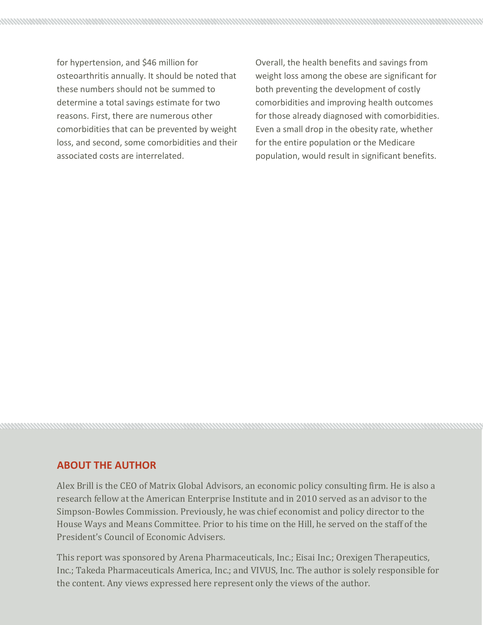for hypertension, and \$46 million for osteoarthritis annually. It should be noted that these numbers should not be summed to determine a total savings estimate for two reasons. First, there are numerous other comorbidities that can be prevented by weight loss, and second, some comorbidities and their associated costs are interrelated.

Overall, the health benefits and savings from weight loss among the obese are significant for both preventing the development of costly comorbidities and improving health outcomes for those already diagnosed with comorbidities. Even a small drop in the obesity rate, whether for the entire population or the Medicare population, would result in significant benefits.

# **ABOUT THE AUTHOR**

Alex Brill is the CEO of Matrix Global Advisors, an economic policy consulting firm. He is also a research fellow at the American Enterprise Institute and in 2010 served as an advisor to the Simpson-Bowles Commission. Previously, he was chief economist and policy director to the House Ways and Means Committee. Prior to his time on the Hill, he served on the staff of the President's Council of Economic Advisers.

This report was sponsored by Arena Pharmaceuticals, Inc.; Eisai Inc.; Orexigen Therapeutics, Inc.; Takeda Pharmaceuticals America, Inc.; and VIVUS, Inc. The author is solely responsible for the content. Any views expressed here represent only the views of the author.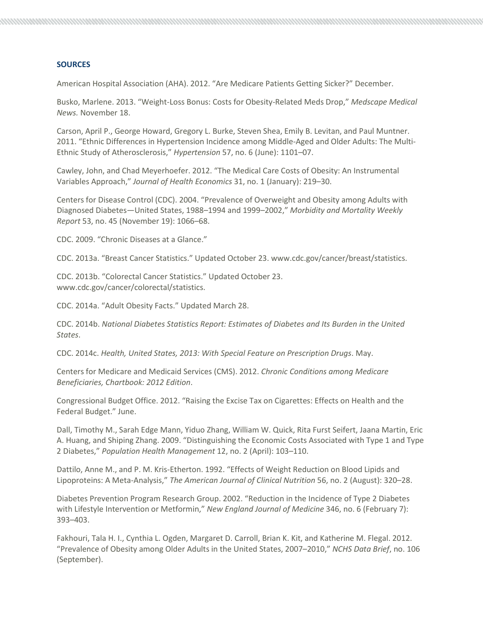#### **SOURCES**

American Hospital Association (AHA). 2012. "Are Medicare Patients Getting Sicker?" December.

Busko, Marlene. 2013. "Weight-Loss Bonus: Costs for Obesity-Related Meds Drop," *Medscape Medical News.* November 18.

Carson, April P., George Howard, Gregory L. Burke, Steven Shea, Emily B. Levitan, and Paul Muntner. 2011. "Ethnic Differences in Hypertension Incidence among Middle-Aged and Older Adults: The Multi-Ethnic Study of Atherosclerosis," *Hypertension* 57, no. 6 (June): 1101–07.

Cawley, John, and Chad Meyerhoefer. 2012. "The Medical Care Costs of Obesity: An Instrumental Variables Approach," *Journal of Health Economics* 31, no. 1 (January): 219–30.

Centers for Disease Control (CDC). 2004. "Prevalence of Overweight and Obesity among Adults with Diagnosed Diabetes—United States, 1988–1994 and 1999–2002," *Morbidity and Mortality Weekly Report* 53, no. 45 (November 19): 1066–68.

CDC. 2009. "Chronic Diseases at a Glance."

CDC. 2013a. "Breast Cancer Statistics." Updated October 23. www.cdc.gov/cancer/breast/statistics.

CDC. 2013b. "Colorectal Cancer Statistics." Updated October 23. www.cdc.gov/cancer/colorectal/statistics.

CDC. 2014a. "Adult Obesity Facts." Updated March 28.

CDC. 2014b. *National Diabetes Statistics Report: Estimates of Diabetes and Its Burden in the United States*.

CDC. 2014c. *Health, United States, 2013: With Special Feature on Prescription Drugs*. May.

Centers for Medicare and Medicaid Services (CMS). 2012. *Chronic Conditions among Medicare Beneficiaries, Chartbook: 2012 Edition*.

Congressional Budget Office. 2012. "Raising the Excise Tax on Cigarettes: Effects on Health and the Federal Budget." June.

Dall, Timothy M., Sarah Edge Mann, Yiduo Zhang, William W. Quick, Rita Furst Seifert, Jaana Martin, Eric A. Huang, and Shiping Zhang. 2009. "Distinguishing the Economic Costs Associated with Type 1 and Type 2 Diabetes," *Population Health Management* 12, no. 2 (April): 103–110.

Dattilo, Anne M., and P. M. Kris-Etherton. 1992. "Effects of Weight Reduction on Blood Lipids and Lipoproteins: A Meta-Analysis," *The American Journal of Clinical Nutrition* 56, no. 2 (August): 320–28.

Diabetes Prevention Program Research Group. 2002. "Reduction in the Incidence of Type 2 Diabetes with Lifestyle Intervention or Metformin," *New England Journal of Medicine* 346, no. 6 (February 7): 393–403.

Fakhouri, Tala H. I., Cynthia L. Ogden, Margaret D. Carroll, Brian K. Kit, and Katherine M. Flegal. 2012. "Prevalence of Obesity among Older Adults in the United States, 2007–2010," *NCHS Data Brief*, no. 106 (September).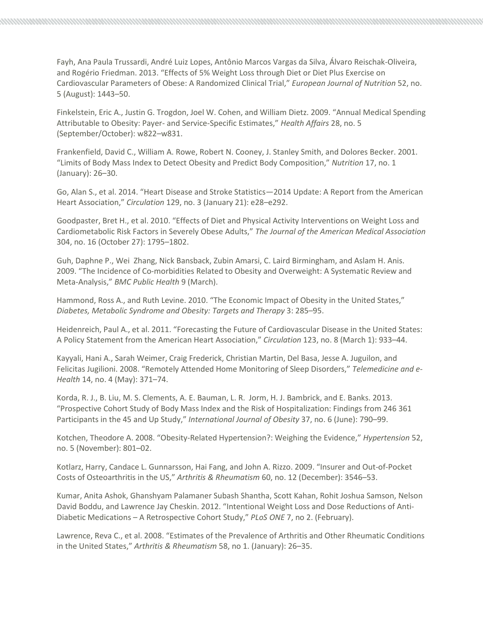Fayh, Ana Paula Trussardi, André Luiz Lopes, Antônio Marcos Vargas da Silva, Álvaro Reischak-Oliveira, and Rogério Friedman. 2013. "Effects of 5% Weight Loss through Diet or Diet Plus Exercise on Cardiovascular Parameters of Obese: A Randomized Clinical Trial," *European Journal of Nutrition* 52, no. 5 (August): 1443–50.

Finkelstein, Eric A., Justin G. Trogdon, Joel W. Cohen, and William Dietz. 2009. "Annual Medical Spending Attributable to Obesity: Payer- and Service-Specific Estimates," *Health Affairs* 28, no. 5 (September/October): w822–w831.

Frankenfield, David C., William A. Rowe, Robert N. Cooney, J. Stanley Smith, and Dolores Becker. 2001. "Limits of Body Mass Index to Detect Obesity and Predict Body Composition," *Nutrition* 17, no. 1 (January): 26–30.

Go, Alan S., et al. 2014. "Heart Disease and Stroke Statistics—2014 Update: A Report from the American Heart Association," *Circulation* 129, no. 3 (January 21): e28–e292.

Goodpaster, Bret H., et al. 2010. "Effects of Diet and Physical Activity Interventions on Weight Loss and Cardiometabolic Risk Factors in Severely Obese Adults," *The Journal of the American Medical Association*  304, no. 16 (October 27): 1795–1802.

Guh, Daphne P., Wei Zhang, Nick Bansback, Zubin Amarsi, C. Laird Birmingham, and Aslam H. Anis. 2009. "The Incidence of Co-morbidities Related to Obesity and Overweight: A Systematic Review and Meta-Analysis," *BMC Public Health* 9 (March).

Hammond, Ross A., and Ruth Levine. 2010. "The Economic Impact of Obesity in the United States," *Diabetes, Metabolic Syndrome and Obesity: Targets and Therapy* 3: 285–95.

Heidenreich, Paul A., et al. 2011. "Forecasting the Future of Cardiovascular Disease in the United States: A Policy Statement from the American Heart Association," *Circulation* 123, no. 8 (March 1): 933–44.

Kayyali, Hani A., Sarah Weimer, Craig Frederick, Christian Martin, Del Basa, Jesse A. Juguilon, and Felicitas Jugilioni. 2008. "Remotely Attended Home Monitoring of Sleep Disorders," *Telemedicine and e-Health* 14, no. 4 (May): 371–74.

Korda, R. J., B. Liu, M. S. Clements, A. E. Bauman, L. R. Jorm, H. J. Bambrick, and E. Banks. 2013. "Prospective Cohort Study of Body Mass Index and the Risk of Hospitalization: Findings from 246 361 Participants in the 45 and Up Study," *International Journal of Obesity* 37, no. 6 (June): 790–99.

Kotchen, Theodore A. 2008. "Obesity-Related Hypertension?: Weighing the Evidence," *Hypertension* 52, no. 5 (November): 801–02.

Kotlarz, Harry, Candace L. Gunnarsson, Hai Fang, and John A. Rizzo. 2009. "Insurer and Out-of-Pocket Costs of Osteoarthritis in the US," *Arthritis & Rheumatism* 60, no. 12 (December): 3546–53.

Kumar, Anita Ashok, Ghanshyam Palamaner Subash Shantha, Scott Kahan, Rohit Joshua Samson, Nelson David Boddu, and Lawrence Jay Cheskin. 2012. "Intentional Weight Loss and Dose Reductions of Anti-Diabetic Medications – A Retrospective Cohort Study," *PLoS ONE* 7, no 2. (February).

Lawrence, Reva C., et al. 2008. "Estimates of the Prevalence of Arthritis and Other Rheumatic Conditions in the United States," *Arthritis & Rheumatism* 58, no 1. (January): 26–35.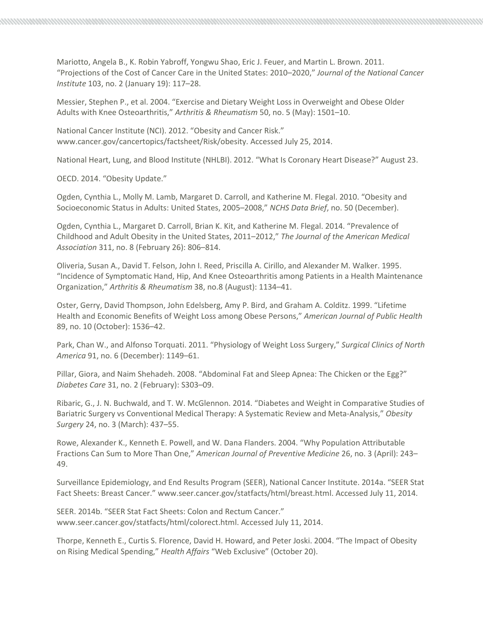Mariotto, Angela B., K. Robin Yabroff, Yongwu Shao, Eric J. Feuer, and Martin L. Brown. 2011. "Projections of the Cost of Cancer Care in the United States: 2010–2020," *Journal of the National Cancer Institute* 103, no. 2 (January 19): 117–28.

Messier, Stephen P., et al. 2004. "Exercise and Dietary Weight Loss in Overweight and Obese Older Adults with Knee Osteoarthritis," *Arthritis & Rheumatism* 50, no. 5 (May): 1501–10.

National Cancer Institute (NCI). 2012. "Obesity and Cancer Risk." www.cancer.gov/cancertopics/factsheet/Risk/obesity. Accessed July 25, 2014.

National Heart, Lung, and Blood Institute (NHLBI). 2012. "What Is Coronary Heart Disease?" August 23.

OECD. 2014. "Obesity Update."

Ogden, Cynthia L., Molly M. Lamb, Margaret D. Carroll, and Katherine M. Flegal. 2010. "Obesity and Socioeconomic Status in Adults: United States, 2005–2008," *NCHS Data Brief*, no. 50 (December).

Ogden, Cynthia L., Margaret D. Carroll, Brian K. Kit, and Katherine M. Flegal. 2014. "Prevalence of Childhood and Adult Obesity in the United States, 2011–2012," *The Journal of the American Medical Association* 311, no. 8 (February 26): 806–814.

Oliveria, Susan A., David T. Felson, John I. Reed, Priscilla A. Cirillo, and Alexander M. Walker. 1995. "Incidence of Symptomatic Hand, Hip, And Knee Osteoarthritis among Patients in a Health Maintenance Organization," *Arthritis & Rheumatism* 38, no.8 (August): 1134–41.

Oster, Gerry, David Thompson, John Edelsberg, Amy P. Bird, and Graham A. Colditz. 1999. "Lifetime Health and Economic Benefits of Weight Loss among Obese Persons," *American Journal of Public Health* 89, no. 10 (October): 1536–42.

Park, Chan W., and Alfonso Torquati. 2011. "Physiology of Weight Loss Surgery," *Surgical Clinics of North America* 91, no. 6 (December): 1149–61.

Pillar, Giora, and Naim Shehadeh. 2008. "Abdominal Fat and Sleep Apnea: The Chicken or the Egg?" *Diabetes Care* 31, no. 2 (February): S303–09.

Ribaric, G., J. N. Buchwald, and T. W. McGlennon. 2014. "Diabetes and Weight in Comparative Studies of Bariatric Surgery vs Conventional Medical Therapy: A Systematic Review and Meta-Analysis," *Obesity Surgery* 24, no. 3 (March): 437–55.

Rowe, Alexander K., Kenneth E. Powell, and W. Dana Flanders. 2004. "Why Population Attributable Fractions Can Sum to More Than One," *American Journal of Preventive Medicine* 26, no. 3 (April): 243– 49.

Surveillance Epidemiology, and End Results Program (SEER), National Cancer Institute. 2014a. "SEER Stat Fact Sheets: Breast Cancer." www.seer.cancer.gov/statfacts/html/breast.html. Accessed July 11, 2014.

SEER. 2014b. "SEER Stat Fact Sheets: Colon and Rectum Cancer." www.seer.cancer.gov/statfacts/html/colorect.html. Accessed July 11, 2014.

Thorpe, Kenneth E., Curtis S. Florence, David H. Howard, and Peter Joski. 2004. "The Impact of Obesity on Rising Medical Spending," *Health Affairs* "Web Exclusive" (October 20).